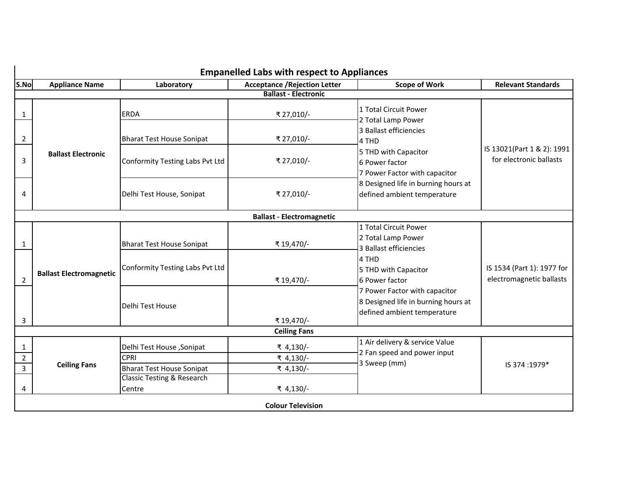|                                  | <b>Empanelled Labs with respect to Appliances</b> |                                                 |                                      |                                                                                                                                                           |                                                        |  |
|----------------------------------|---------------------------------------------------|-------------------------------------------------|--------------------------------------|-----------------------------------------------------------------------------------------------------------------------------------------------------------|--------------------------------------------------------|--|
| S.No                             | <b>Appliance Name</b>                             | Laboratory                                      | <b>Acceptance / Rejection Letter</b> | <b>Scope of Work</b>                                                                                                                                      | <b>Relevant Standards</b>                              |  |
|                                  |                                                   |                                                 | <b>Ballast - Electronic</b>          |                                                                                                                                                           |                                                        |  |
| 1                                |                                                   | <b>ERDA</b>                                     | ₹ 27,010/-                           | 1 Total Circuit Power<br>2 Total Lamp Power<br>3 Ballast efficiencies<br>4 THD<br>5 THD with Capacitor<br>6 Power factor<br>7 Power Factor with capacitor | IS 13021(Part 1 & 2): 1991<br>for electronic ballasts  |  |
| 2                                |                                                   | <b>Bharat Test House Sonipat</b>                | ₹ 27,010/-                           |                                                                                                                                                           |                                                        |  |
| 3                                | <b>Ballast Electronic</b>                         | Conformity Testing Labs Pvt Ltd                 | ₹ 27,010/-                           |                                                                                                                                                           |                                                        |  |
| 4                                |                                                   | Delhi Test House, Sonipat                       | ₹ 27,010/-                           | 8 Designed life in burning hours at<br>defined ambient temperature                                                                                        |                                                        |  |
|                                  |                                                   |                                                 | <b>Ballast - Electromagnetic</b>     |                                                                                                                                                           |                                                        |  |
| 1                                |                                                   | <b>Bharat Test House Sonipat</b>                | ₹19,470/-                            | 1 Total Circuit Power<br>2 Total Lamp Power<br>3 Ballast efficiencies                                                                                     |                                                        |  |
| $\overline{2}$                   | <b>Ballast Electromagnetic</b>                    | Conformity Testing Labs Pvt Ltd                 | ₹19,470/-                            | 4 THD<br>5 THD with Capacitor<br>6 Power factor                                                                                                           | IS 1534 (Part 1): 1977 for<br>electromagnetic ballasts |  |
| 3                                |                                                   | Delhi Test House                                | ₹19,470/-                            | 7 Power Factor with capacitor<br>8 Designed life in burning hours at<br>defined ambient temperature                                                       |                                                        |  |
|                                  |                                                   |                                                 | <b>Ceiling Fans</b>                  |                                                                                                                                                           |                                                        |  |
| 1                                |                                                   | Delhi Test House, Sonipat                       | ₹ 4,130/-                            | 1 Air delivery & service Value<br>2 Fan speed and power input<br>3 Sweep (mm)                                                                             |                                                        |  |
| $\overline{2}$<br>$\overline{3}$ | <b>Ceiling Fans</b>                               | <b>CPRI</b><br><b>Bharat Test House Sonipat</b> | ₹ 4,130/-<br>₹ 4,130/-               |                                                                                                                                                           | IS 374:1979*                                           |  |
| 4                                |                                                   | <b>Classic Testing &amp; Research</b><br>Centre | ₹ 4,130/-                            |                                                                                                                                                           |                                                        |  |
|                                  | <b>Colour Television</b>                          |                                                 |                                      |                                                                                                                                                           |                                                        |  |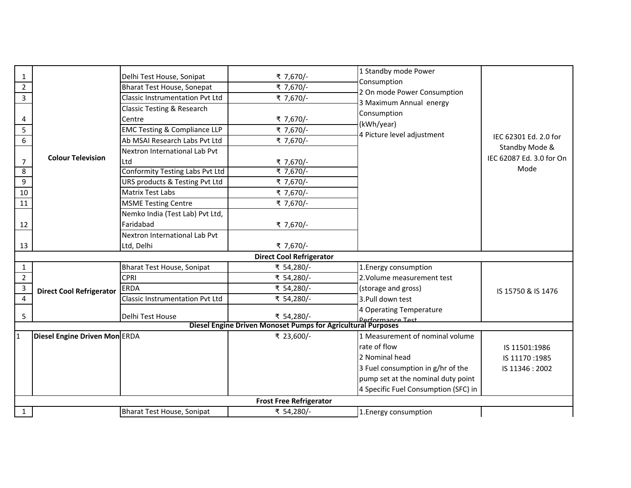|                         |                                 |                                         |                                                                                                | 1 Standby mode Power                                   |                          |  |  |
|-------------------------|---------------------------------|-----------------------------------------|------------------------------------------------------------------------------------------------|--------------------------------------------------------|--------------------------|--|--|
| 1                       |                                 | Delhi Test House, Sonipat               | ₹ 7,670/-                                                                                      | Consumption                                            |                          |  |  |
| $2^{\circ}$             |                                 | <b>Bharat Test House, Sonepat</b>       | ₹ 7,670/-                                                                                      | 2 On mode Power Consumption<br>3 Maximum Annual energy |                          |  |  |
| $\overline{3}$          |                                 | Classic Instrumentation Pvt Ltd         | ₹ 7,670/-                                                                                      |                                                        |                          |  |  |
|                         |                                 | Classic Testing & Research              |                                                                                                | Consumption                                            |                          |  |  |
| 4                       |                                 | Centre                                  | ₹ 7,670/-                                                                                      | (kWh/year)                                             |                          |  |  |
| 5                       |                                 | <b>EMC Testing &amp; Compliance LLP</b> | ₹ 7,670/-                                                                                      | 4 Picture level adjustment                             |                          |  |  |
| 6                       |                                 | Ab MSAI Research Labs Pvt Ltd           | ₹ 7,670/-                                                                                      |                                                        | IEC 62301 Ed. 2.0 for    |  |  |
|                         |                                 | Nextron International Lab Pvt           |                                                                                                |                                                        | Standby Mode &           |  |  |
| $\overline{7}$          | <b>Colour Television</b>        | Ltd                                     | ₹ 7,670/-                                                                                      |                                                        | IEC 62087 Ed. 3.0 for On |  |  |
| 8                       |                                 | Conformity Testing Labs Pvt Ltd         | ₹ 7,670/-                                                                                      |                                                        | Mode                     |  |  |
| 9                       |                                 | URS products & Testing Pvt Ltd          | ₹ 7,670/-                                                                                      |                                                        |                          |  |  |
| 10                      |                                 | <b>Matrix Test Labs</b>                 | ₹ 7,670/-                                                                                      |                                                        |                          |  |  |
| 11                      |                                 | <b>MSME Testing Centre</b>              | ₹ 7,670/-                                                                                      |                                                        |                          |  |  |
|                         |                                 | Nemko India (Test Lab) Pvt Ltd,         |                                                                                                |                                                        |                          |  |  |
| 12                      |                                 | Faridabad                               | ₹ 7,670/-                                                                                      |                                                        |                          |  |  |
|                         |                                 | Nextron International Lab Pvt           |                                                                                                |                                                        |                          |  |  |
| 13                      |                                 | Ltd, Delhi                              | ₹ 7,670/-                                                                                      |                                                        |                          |  |  |
|                         | <b>Direct Cool Refrigerator</b> |                                         |                                                                                                |                                                        |                          |  |  |
| $\mathbf{1}$            |                                 | Bharat Test House, Sonipat              | ₹ 54,280/-                                                                                     | 1. Energy consumption                                  |                          |  |  |
| $\overline{2}$          |                                 | CPRI                                    | ₹ 54,280/-                                                                                     | 2. Volume measurement test                             |                          |  |  |
| $\overline{3}$          | <b>Direct Cool Refrigerator</b> | ERDA                                    | ₹ 54,280/-                                                                                     | (storage and gross)                                    | IS 15750 & IS 1476       |  |  |
| $\overline{\mathbf{4}}$ |                                 | <b>Classic Instrumentation Pvt Ltd</b>  | ₹ 54,280/-                                                                                     | 3. Pull down test                                      |                          |  |  |
|                         |                                 |                                         |                                                                                                | 4 Operating Temperature                                |                          |  |  |
| 5                       |                                 | Delhi Test House                        | ₹ 54,280/-<br>Derformance Test<br>Diesel Engine Driven Monoset Pumps for Agricultural Purposes |                                                        |                          |  |  |
|                         |                                 |                                         |                                                                                                |                                                        |                          |  |  |
| 1                       | Diesel Engine Driven Mon ERDA   |                                         | ₹ 23,600/-                                                                                     | 1 Measurement of nominal volume                        |                          |  |  |
|                         |                                 |                                         |                                                                                                | rate of flow                                           | IS 11501:1986            |  |  |
|                         |                                 |                                         |                                                                                                | 2 Nominal head                                         | IS 11170:1985            |  |  |
|                         |                                 |                                         |                                                                                                | 3 Fuel consumption in g/hr of the                      | IS 11346: 2002           |  |  |
|                         |                                 |                                         |                                                                                                | pump set at the nominal duty point                     |                          |  |  |
|                         |                                 |                                         |                                                                                                | 4 Specific Fuel Consumption (SFC) in                   |                          |  |  |
|                         |                                 |                                         | <b>Frost Free Refrigerator</b>                                                                 |                                                        |                          |  |  |
| $\mathbf{1}$            |                                 | Bharat Test House, Sonipat              | ₹ 54,280/-                                                                                     | 1. Energy consumption                                  |                          |  |  |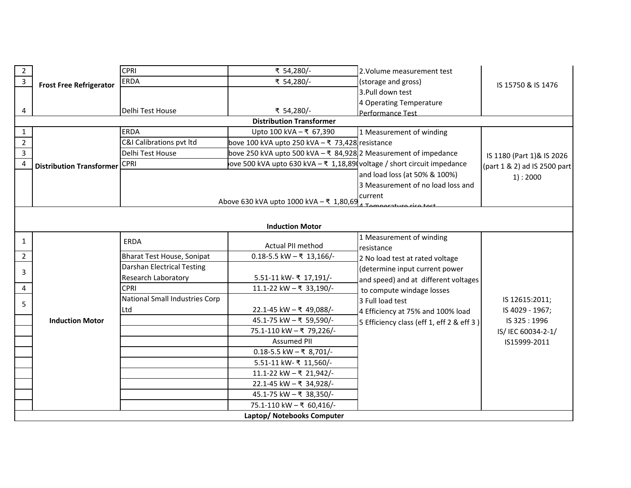| $\overline{2}$ |                                 | <b>CPRI</b>                       | ₹ 54,280/-                                                                               | 2. Volume measurement test                                                     |                              |  |  |
|----------------|---------------------------------|-----------------------------------|------------------------------------------------------------------------------------------|--------------------------------------------------------------------------------|------------------------------|--|--|
| $\overline{3}$ | <b>Frost Free Refrigerator</b>  | ERDA                              | ₹ 54,280/-                                                                               | (storage and gross)                                                            | IS 15750 & IS 1476           |  |  |
|                |                                 |                                   |                                                                                          | 3. Pull down test                                                              |                              |  |  |
|                |                                 |                                   |                                                                                          | 4 Operating Temperature                                                        |                              |  |  |
| 4              |                                 | Delhi Test House                  | ₹ 54,280/-                                                                               | Performance Test                                                               |                              |  |  |
|                |                                 |                                   | <b>Distribution Transformer</b>                                                          |                                                                                |                              |  |  |
| $\mathbf{1}$   |                                 | <b>ERDA</b>                       | Upto 100 kVA - ₹ 67,390                                                                  | 1 Measurement of winding                                                       |                              |  |  |
| $\overline{2}$ |                                 | C&I Calibrations pvt ltd          | bove 100 kVA upto 250 kVA $-$ ₹ 73,428 resistance                                        |                                                                                |                              |  |  |
| $\overline{3}$ |                                 | Delhi Test House                  | bove 250 kVA upto 500 kVA – ₹ 84,928 2 Measurement of impedance                          |                                                                                | IS 1180 (Part 1)& IS 2026    |  |  |
| $\overline{4}$ | <b>Distribution Transformer</b> | <b>CPRI</b>                       | love 500 kVA upto 630 kVA – ₹ 1,18,89 voltage / short circuit impedance                  |                                                                                | (part 1 & 2) ad IS 2500 part |  |  |
|                |                                 |                                   |                                                                                          | and load loss (at 50% & 100%)                                                  | 1): 2000                     |  |  |
|                |                                 |                                   |                                                                                          | 3 Measurement of no load loss and                                              |                              |  |  |
|                |                                 |                                   | Above 630 kVA upto 1000 kVA $-\overline{\xi}$ 1,80,69 $\overline{4}$ Tomporature rise to | current                                                                        |                              |  |  |
|                |                                 |                                   |                                                                                          |                                                                                |                              |  |  |
|                |                                 |                                   |                                                                                          |                                                                                |                              |  |  |
|                |                                 |                                   | <b>Induction Motor</b>                                                                   |                                                                                |                              |  |  |
| $\mathbf{1}$   |                                 | <b>ERDA</b>                       | Actual PII method                                                                        | 1 Measurement of winding                                                       |                              |  |  |
| $\overline{2}$ |                                 | <b>Bharat Test House, Sonipat</b> | $0.18 - 5.5$ kW $-$ ₹ 13,166/-                                                           | resistance                                                                     |                              |  |  |
|                |                                 | <b>Darshan Electrical Testing</b> |                                                                                          | 2 No load test at rated voltage                                                |                              |  |  |
| 3              |                                 | <b>Research Laboratory</b>        | 5.51-11 kW- ₹ 17,191/-                                                                   | (determine input current power                                                 |                              |  |  |
| 4              |                                 | <b>CPRI</b>                       | 11.1-22 kW - ₹ 33,190/-                                                                  | and speed) and at different voltages                                           |                              |  |  |
|                |                                 | National Small Industries Corp    |                                                                                          | to compute windage losses                                                      | IS 12615:2011;               |  |  |
| 5              |                                 | Ltd                               | 22.1-45 kW - ₹ 49,088/-                                                                  | 3 Full load test                                                               | IS 4029 - 1967;              |  |  |
|                | <b>Induction Motor</b>          |                                   | 45.1-75 kW - ₹ 59,590/-                                                                  | 4 Efficiency at 75% and 100% load<br>5 Efficiency class (eff 1, eff 2 & eff 3) | IS 325:1996                  |  |  |
|                |                                 |                                   | 75.1-110 kW - ₹ 79,226/-                                                                 |                                                                                | IS/ IEC 60034-2-1/           |  |  |
|                |                                 |                                   | <b>Assumed PII</b>                                                                       |                                                                                | IS15999-2011                 |  |  |
|                |                                 |                                   | $0.18 - 5.5$ kW $-$ ₹ 8,701/-                                                            |                                                                                |                              |  |  |
|                |                                 |                                   | 5.51-11 kW- ₹ 11,560/-                                                                   |                                                                                |                              |  |  |
|                |                                 |                                   | 11.1-22 kW - ₹ 21,942/-                                                                  |                                                                                |                              |  |  |
|                |                                 |                                   | 22.1-45 kW - ₹ 34,928/-                                                                  |                                                                                |                              |  |  |
|                |                                 |                                   | 45.1-75 kW - ₹ 38,350/-                                                                  |                                                                                |                              |  |  |
|                |                                 |                                   | 75.1-110 kW - ₹ 60,416/-                                                                 |                                                                                |                              |  |  |
|                | Laptop/ Notebooks Computer      |                                   |                                                                                          |                                                                                |                              |  |  |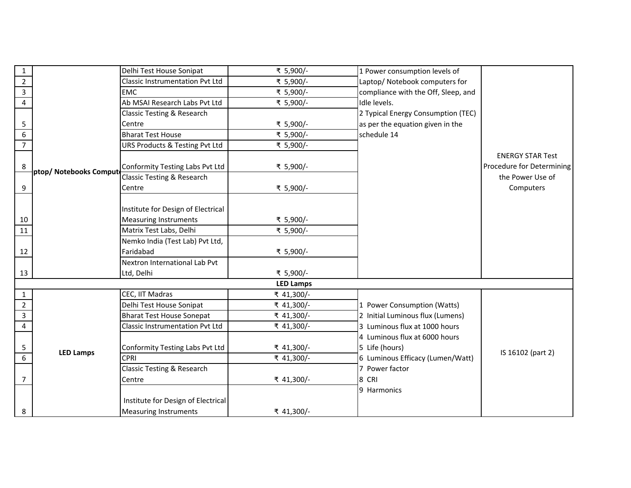| $\mathbf 1$             |                        | Delhi Test House Sonipat               | ₹ 5,900/-        | 1 Power consumption levels of       |                           |
|-------------------------|------------------------|----------------------------------------|------------------|-------------------------------------|---------------------------|
| $\overline{2}$          |                        | <b>Classic Instrumentation Pvt Ltd</b> | ₹ 5,900/-        | Laptop/ Notebook computers for      |                           |
| $\overline{\mathbf{3}}$ |                        | <b>EMC</b>                             | ₹ 5,900/-        | compliance with the Off, Sleep, and |                           |
| $\overline{4}$          |                        | Ab MSAI Research Labs Pvt Ltd          | ₹ 5,900/-        | Idle levels.                        |                           |
|                         |                        | Classic Testing & Research             |                  | 2 Typical Energy Consumption (TEC)  |                           |
| 5                       |                        | Centre                                 | ₹ 5,900/-        | as per the equation given in the    |                           |
| 6                       |                        | <b>Bharat Test House</b>               | ₹ 5,900/-        | schedule 14                         |                           |
| $\overline{7}$          |                        | URS Products & Testing Pvt Ltd         | ₹ 5,900/-        |                                     |                           |
|                         |                        |                                        |                  |                                     | <b>ENERGY STAR Test</b>   |
| 8                       | ptop/ Notebooks Comput | Conformity Testing Labs Pvt Ltd        | ₹ 5,900/-        |                                     | Procedure for Determining |
|                         |                        | <b>Classic Testing &amp; Research</b>  |                  |                                     | the Power Use of          |
| 9                       |                        | Centre                                 | ₹ 5,900/-        |                                     | Computers                 |
|                         |                        |                                        |                  |                                     |                           |
|                         |                        | Institute for Design of Electrical     |                  |                                     |                           |
| 10                      |                        | <b>Measuring Instruments</b>           | ₹ 5,900/-        |                                     |                           |
| 11                      |                        | Matrix Test Labs, Delhi                | ₹ 5,900/-        |                                     |                           |
|                         |                        | Nemko India (Test Lab) Pvt Ltd,        |                  |                                     |                           |
| 12                      |                        | Faridabad                              | ₹ 5,900/-        |                                     |                           |
|                         |                        | Nextron International Lab Pvt          |                  |                                     |                           |
| 13                      |                        | Ltd, Delhi                             | ₹ 5,900/-        |                                     |                           |
|                         |                        |                                        | <b>LED Lamps</b> |                                     |                           |
| $\mathbf{1}$            |                        | CEC, IIT Madras                        | ₹ 41,300/-       |                                     |                           |
| $\overline{2}$          |                        | Delhi Test House Sonipat               | ₹ 41,300/-       | 1 Power Consumption (Watts)         |                           |
| $\overline{3}$          |                        | <b>Bharat Test House Sonepat</b>       | ₹ 41,300/-       | 2 Initial Luminous flux (Lumens)    |                           |
| $\overline{4}$          |                        | <b>Classic Instrumentation Pvt Ltd</b> | ₹ 41,300/-       | 3 Luminous flux at 1000 hours       |                           |
|                         |                        |                                        |                  | 4 Luminous flux at 6000 hours       |                           |
| 5                       | <b>LED Lamps</b>       | Conformity Testing Labs Pvt Ltd        | ₹ 41,300/-       | 5 Life (hours)                      | IS 16102 (part 2)         |
| $\overline{6}$          |                        | <b>CPRI</b>                            | ₹ 41,300/-       | 6 Luminous Efficacy (Lumen/Watt)    |                           |
|                         |                        | Classic Testing & Research             |                  | 7 Power factor                      |                           |
| 7                       |                        | Centre                                 | ₹ 41,300/-       | 8 CRI                               |                           |
|                         |                        |                                        |                  | 9 Harmonics                         |                           |
|                         |                        | Institute for Design of Electrical     |                  |                                     |                           |
| 8                       |                        | <b>Measuring Instruments</b>           | ₹ 41,300/-       |                                     |                           |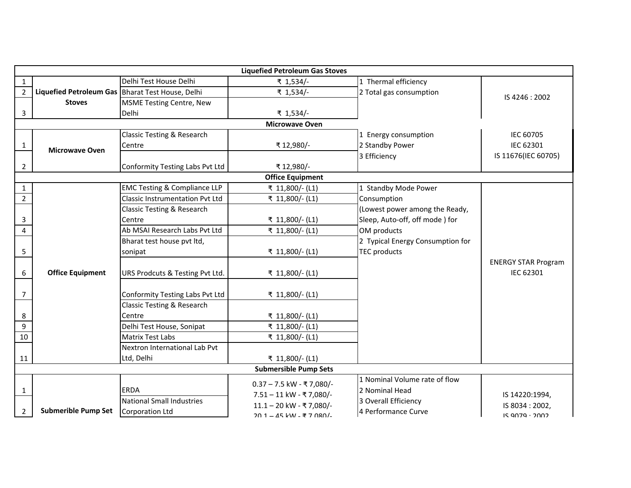|                | <b>Liquefied Petroleum Gas Stoves</b>              |                                                 |                                                       |                                                                         |                                          |  |
|----------------|----------------------------------------------------|-------------------------------------------------|-------------------------------------------------------|-------------------------------------------------------------------------|------------------------------------------|--|
| $\mathbf{1}$   |                                                    | Delhi Test House Delhi                          | ₹ 1,534/-                                             | 1 Thermal efficiency                                                    |                                          |  |
| $\overline{2}$ | Liquefied Petroleum Gas   Bharat Test House, Delhi |                                                 | ₹ 1,534/-                                             | 2 Total gas consumption                                                 | IS 4246: 2002                            |  |
|                | <b>Stoves</b>                                      | <b>MSME Testing Centre, New</b>                 |                                                       |                                                                         |                                          |  |
| 3              |                                                    | Delhi                                           | ₹ 1,534/-                                             |                                                                         |                                          |  |
|                |                                                    |                                                 | <b>Microwave Oven</b>                                 |                                                                         |                                          |  |
|                |                                                    | Classic Testing & Research                      |                                                       | 1 Energy consumption                                                    | IEC 60705                                |  |
| $\mathbf{1}$   | <b>Microwave Oven</b>                              | Centre                                          | ₹12,980/-                                             | 2 Standby Power                                                         | IEC 62301                                |  |
|                |                                                    |                                                 |                                                       | 3 Efficiency                                                            | IS 11676(IEC 60705)                      |  |
| 2              |                                                    | Conformity Testing Labs Pvt Ltd                 | ₹12,980/-                                             |                                                                         |                                          |  |
|                |                                                    |                                                 | <b>Office Equipment</b>                               |                                                                         |                                          |  |
| $\mathbf{1}$   |                                                    | <b>EMC Testing &amp; Compliance LLP</b>         | ₹ 11,800/- (L1)                                       | 1 Standby Mode Power                                                    |                                          |  |
| $\overline{2}$ |                                                    | <b>Classic Instrumentation Pvt Ltd</b>          | ₹ 11,800/- (L1)                                       | Consumption                                                             |                                          |  |
|                |                                                    | Classic Testing & Research                      |                                                       | (Lowest power among the Ready,                                          |                                          |  |
| 3              |                                                    | Centre                                          | ₹ 11,800/- (L1)                                       | Sleep, Auto-off, off mode ) for                                         |                                          |  |
| $\overline{4}$ |                                                    | Ab MSAI Research Labs Pvt Ltd                   | ₹ 11,800/- (L1)                                       | OM products                                                             |                                          |  |
|                |                                                    | Bharat test house pvt ltd,                      |                                                       | 2 Typical Energy Consumption for                                        |                                          |  |
| 5              |                                                    | sonipat                                         | ₹ 11,800/- (L1)                                       | <b>TEC products</b>                                                     |                                          |  |
|                |                                                    |                                                 |                                                       |                                                                         | <b>ENERGY STAR Program</b>               |  |
| 6              | <b>Office Equipment</b>                            | URS Prodcuts & Testing Pvt Ltd.                 | ₹ 11,800/- (L1)                                       |                                                                         | IEC 62301                                |  |
| 7              |                                                    | Conformity Testing Labs Pvt Ltd                 | ₹ 11,800/- (L1)                                       |                                                                         |                                          |  |
|                |                                                    | Classic Testing & Research                      |                                                       |                                                                         |                                          |  |
| 8              |                                                    | Centre                                          | ₹ 11,800/- (L1)                                       |                                                                         |                                          |  |
| $\overline{9}$ |                                                    | Delhi Test House, Sonipat                       | ₹ 11,800/- (L1)                                       |                                                                         |                                          |  |
| 10             |                                                    | <b>Matrix Test Labs</b>                         | ₹ 11,800/- (L1)                                       |                                                                         |                                          |  |
|                |                                                    | Nextron International Lab Pvt                   |                                                       |                                                                         |                                          |  |
| 11             |                                                    | Ltd, Delhi                                      | ₹ 11,800/- (L1)                                       |                                                                         |                                          |  |
|                |                                                    |                                                 | <b>Submersible Pump Sets</b>                          |                                                                         |                                          |  |
| $\mathbf{1}$   |                                                    | <b>ERDA</b><br><b>National Small Industries</b> | $0.37 - 7.5$ kW - ₹7,080/-<br>7.51 - 11 kW - ₹7,080/- | 1 Nominal Volume rate of flow<br>2 Nominal Head<br>3 Overall Efficiency | IS 14220:1994,                           |  |
| $\overline{2}$ | <b>Submerible Pump Set</b>                         | Corporation Ltd                                 | 11.1 - 20 kW - ₹7,080/-<br>20 1 - 45 kW - ₹ 7 080/-   | 4 Performance Curve                                                     | IS 8034: 2002,<br>$IS$ 9079 $\cdot$ 2002 |  |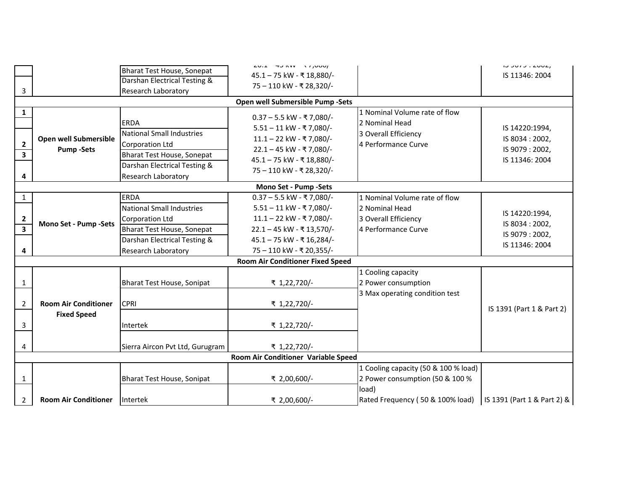|                         |                                     |                                  | $20.1 - 70$ NVV $\rightarrow$ 7,000/ |                                      |                             |  |  |
|-------------------------|-------------------------------------|----------------------------------|--------------------------------------|--------------------------------------|-----------------------------|--|--|
|                         |                                     | Bharat Test House, Sonepat       | 45.1 - 75 kW - ₹ 18,880/-            |                                      | IS 11346: 2004              |  |  |
|                         |                                     | Darshan Electrical Testing &     | 75 - 110 kW - ₹ 28,320/-             |                                      |                             |  |  |
| 3                       |                                     | <b>Research Laboratory</b>       |                                      |                                      |                             |  |  |
|                         |                                     |                                  | Open well Submersible Pump -Sets     |                                      |                             |  |  |
| 1                       |                                     |                                  | $0.37 - 5.5$ kW - ₹7,080/-           | 1 Nominal Volume rate of flow        |                             |  |  |
|                         |                                     | <b>ERDA</b>                      | 5.51 - 11 kW - ₹7,080/-              | 2 Nominal Head                       | IS 14220:1994,              |  |  |
|                         | Open well Submersible               | National Small Industries        | 11.1 - 22 kW - ₹7,080/-              | 3 Overall Efficiency                 | IS 8034: 2002,              |  |  |
| $\overline{2}$          | <b>Pump-Sets</b>                    | <b>Corporation Ltd</b>           | 22.1 - 45 kW - ₹7,080/-              | 4 Performance Curve                  | IS 9079: 2002,              |  |  |
| $\overline{\mathbf{3}}$ |                                     | Bharat Test House, Sonepat       | 45.1 - 75 kW - ₹ 18,880/-            |                                      | IS 11346: 2004              |  |  |
|                         |                                     | Darshan Electrical Testing &     | 75 - 110 kW - ₹ 28,320/-             |                                      |                             |  |  |
| 4                       |                                     | <b>Research Laboratory</b>       |                                      |                                      |                             |  |  |
|                         |                                     |                                  | Mono Set - Pump -Sets                |                                      |                             |  |  |
| $\mathbf{1}$            |                                     | <b>ERDA</b>                      | 0.37 - 5.5 kW - ₹7,080/-             | 1 Nominal Volume rate of flow        |                             |  |  |
|                         |                                     | <b>National Small Industries</b> | $5.51 - 11$ kW - ₹7,080/-            | 2 Nominal Head                       | IS 14220:1994,              |  |  |
| $\overline{\mathbf{c}}$ | Mono Set - Pump -Sets               | <b>Corporation Ltd</b>           | 11.1 - 22 kW - ₹7,080/-              | 3 Overall Efficiency                 | IS 8034: 2002,              |  |  |
| $\overline{3}$          |                                     | Bharat Test House, Sonepat       | 22.1 - 45 kW - ₹ 13,570/-            | 4 Performance Curve                  | IS 9079: 2002,              |  |  |
|                         |                                     | Darshan Electrical Testing &     | 45.1 - 75 kW - ₹ 16,284/-            |                                      | IS 11346: 2004              |  |  |
| 4                       |                                     | <b>Research Laboratory</b>       | 75 - 110 kW - ₹ 20,355/-             |                                      |                             |  |  |
|                         | Room Air Conditioner Fixed Speed    |                                  |                                      |                                      |                             |  |  |
|                         |                                     |                                  |                                      | 1 Cooling capacity                   |                             |  |  |
| 1                       |                                     | Bharat Test House, Sonipat       | ₹ 1,22,720/-                         | 2 Power consumption                  |                             |  |  |
|                         |                                     |                                  |                                      | 3 Max operating condition test       |                             |  |  |
| $\overline{2}$          | <b>Room Air Conditioner</b>         | <b>CPRI</b>                      | ₹ 1,22,720/-                         |                                      | IS 1391 (Part 1 & Part 2)   |  |  |
|                         | <b>Fixed Speed</b>                  |                                  |                                      |                                      |                             |  |  |
| 3                       |                                     | Intertek                         | ₹ 1,22,720/-                         |                                      |                             |  |  |
|                         |                                     |                                  |                                      |                                      |                             |  |  |
| 4                       |                                     | Sierra Aircon Pvt Ltd, Gurugram  | ₹ 1,22,720/-                         |                                      |                             |  |  |
|                         | Room Air Conditioner Variable Speed |                                  |                                      |                                      |                             |  |  |
|                         |                                     |                                  |                                      | 1 Cooling capacity (50 & 100 % load) |                             |  |  |
| 1                       |                                     | Bharat Test House, Sonipat       | ₹ 2,00,600/-                         | 2 Power consumption (50 & 100 %      |                             |  |  |
|                         |                                     |                                  |                                      | load)                                |                             |  |  |
| $\overline{2}$          | <b>Room Air Conditioner</b>         | Intertek                         | ₹ 2,00,600/-                         | Rated Frequency (50 & 100% load)     | IS 1391 (Part 1 & Part 2) & |  |  |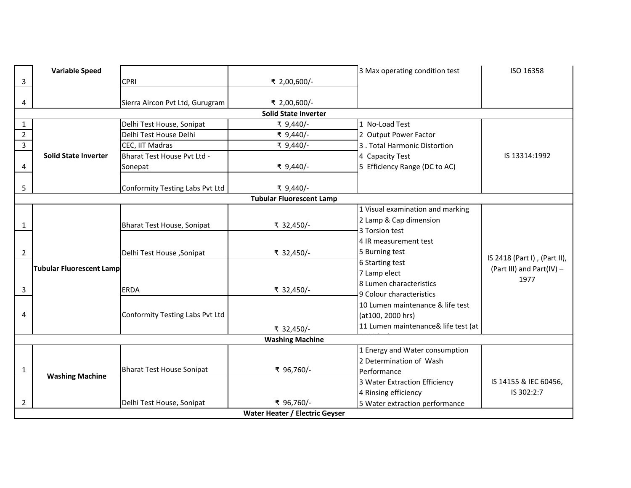|                | <b>Variable Speed</b>           |                                  |                                 | 3 Max operating condition test      | ISO 16358                    |  |
|----------------|---------------------------------|----------------------------------|---------------------------------|-------------------------------------|------------------------------|--|
| 3              |                                 | <b>CPRI</b>                      | ₹ 2,00,600/-                    |                                     |                              |  |
|                |                                 |                                  |                                 |                                     |                              |  |
| 4              |                                 | Sierra Aircon Pvt Ltd, Gurugram  | ₹ 2,00,600/-                    |                                     |                              |  |
|                |                                 |                                  | <b>Solid State Inverter</b>     |                                     |                              |  |
| $\mathbf{1}$   |                                 | Delhi Test House, Sonipat        | ₹ 9,440/-                       | 1 No-Load Test                      |                              |  |
| $\overline{2}$ |                                 | Delhi Test House Delhi           | ₹ 9,440/-                       | 2 Output Power Factor               |                              |  |
| $\overline{3}$ |                                 | CEC, IIT Madras                  | ₹ 9,440/-                       | 3. Total Harmonic Distortion        |                              |  |
|                | <b>Solid State Inverter</b>     | Bharat Test House Pvt Ltd -      |                                 | 4 Capacity Test                     | IS 13314:1992                |  |
| 4              |                                 | Sonepat                          | ₹ 9,440/-                       | 5 Efficiency Range (DC to AC)       |                              |  |
|                |                                 |                                  |                                 |                                     |                              |  |
| 5              |                                 | Conformity Testing Labs Pvt Ltd  | ₹ 9,440/-                       |                                     |                              |  |
|                |                                 |                                  | <b>Tubular Fluorescent Lamp</b> |                                     |                              |  |
|                |                                 |                                  |                                 | 1 Visual examination and marking    |                              |  |
| 1              |                                 | Bharat Test House, Sonipat       | ₹ 32,450/-                      | 2 Lamp & Cap dimension              |                              |  |
|                |                                 |                                  |                                 | 3 Torsion test                      |                              |  |
|                |                                 |                                  |                                 | 4 IR measurement test               |                              |  |
| 2              |                                 | Delhi Test House, Sonipat        | ₹ 32,450/-                      | 5 Burning test                      | IS 2418 (Part I), (Part II), |  |
|                | <b>Tubular Fluorescent Lamp</b> |                                  |                                 | 6 Starting test                     | (Part III) and Part(IV) -    |  |
|                |                                 |                                  |                                 | 7 Lamp elect                        | 1977                         |  |
| 3              |                                 | <b>ERDA</b>                      | ₹ 32,450/-                      | 8 Lumen characteristics             |                              |  |
|                |                                 |                                  |                                 | 9 Colour characteristics            |                              |  |
|                |                                 |                                  |                                 | 10 Lumen maintenance & life test    |                              |  |
| 4              |                                 | Conformity Testing Labs Pvt Ltd  |                                 | (at100, 2000 hrs)                   |                              |  |
|                |                                 |                                  | ₹ 32,450/-                      | 11 Lumen maintenance& life test (at |                              |  |
|                |                                 |                                  | <b>Washing Machine</b>          |                                     |                              |  |
|                |                                 |                                  |                                 | 1 Energy and Water consumption      |                              |  |
|                |                                 |                                  |                                 | 2 Determination of Wash             |                              |  |
| $\mathbf{1}$   | <b>Washing Machine</b>          | <b>Bharat Test House Sonipat</b> | ₹ 96,760/-                      | Performance                         |                              |  |
|                |                                 |                                  |                                 | 3 Water Extraction Efficiency       | IS 14155 & IEC 60456,        |  |
|                |                                 |                                  |                                 | 4 Rinsing efficiency                | IS 302:2:7                   |  |
| 2              |                                 | Delhi Test House, Sonipat        | ₹ 96,760/-                      | 5 Water extraction performance      |                              |  |
|                | Water Heater / Electric Geyser  |                                  |                                 |                                     |                              |  |